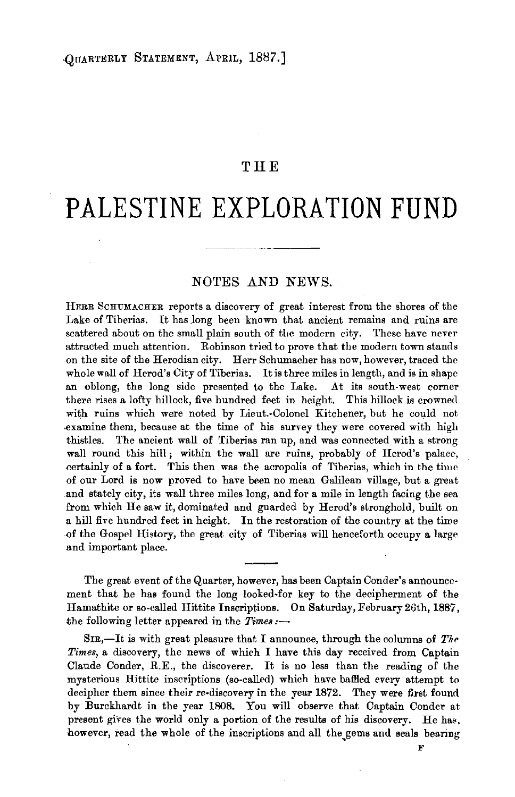## **THE**

# **PALESTINE EXPLORATION FUND**

# NOTES AND NEWS.

HERR ScHUMACHER reports a discovery of great interest from the shores of the Lake of Tiberias. It has long been known that ancient remains and ruins are scattered about on the small plain south of the modern city. These have never attracted much attention. Robinson tried to prove that the modern town stands on the site of the Herodian city. Herr Schumacher has now, however, traced the whole wall of Herod's City of Tiberias. It is three miles in length, and is in shape an oblong, the long side presented to the Lake. At its south-west corner there rises a lofty hillock, five hundred feet in height. This hillock is crowned with ruins which were noted by Lieut.-Colonel Kitchener, but he could not .examine them, because at the time of his survey they were covered with high thistles. The ancient wall of Tiberias ran up, and was connected with a strong wall round this hill; within the wall are ruins, probably of Herod's palace, certainly of a fort. This then was the acropolis of Tiberias, which in the time of our Lord is now proved to have been no mean Galilean village, but a great and stately city, its wall three miles long, and for a mile in length facing the sea from which He saw it, dominated and guarded by Herod's stronghold, built on a hill five hundred feet in height. In the restoration of the country at the time of the Gospel History, the great city of Tiberias will henceforth occupy a large and important place.

The great event of the Quarter, however, has been Captain Conder's announce· ment that he has found the long looked-for key to the decipherment of the Hamathite or so-called Hittite Inscriptions. On Saturday, February 26th, 1887, the following letter appeared in the *Times*:-

SIR,-It is with great pleasure that I announce, through the columns of The *Times,* a discovery, the news of which I have this day received from Captain Claude Conder, R.E., the discoverer. It is no less than the reading of the mysterious Hittite inscriptions (so-called) which have baffled every attempt to decipher them since their re-discovery in the year 1872. They were first found by Eurckhardt in the year 1808. You will observe that Captain Conder at present gives the world only a portion of the results of his discovery. He has, however, read the whole of the inscriptions and all the gems and seals bearing

F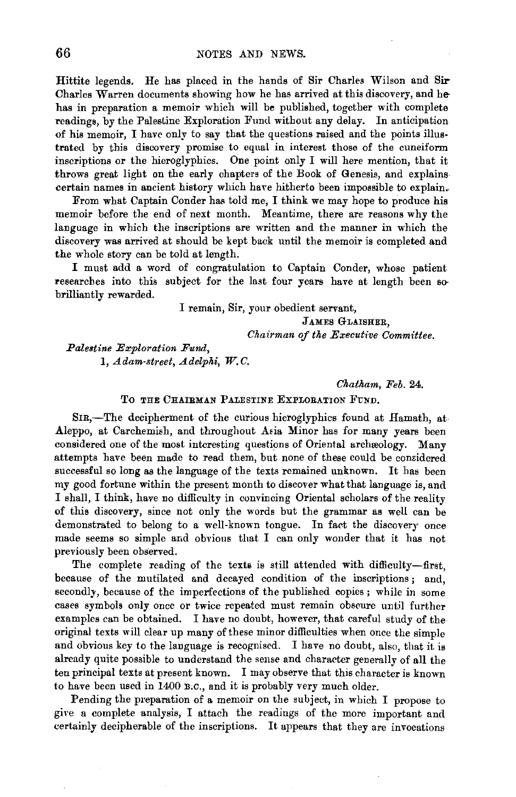Hittite legends. He has placed in the hands of Sir Charles Wilson and Sir-Charles Warren documents showing how he has arrived at this discovery, and hehas in preparation a memoir which will be published, together with complete readings, by the Palestine Exploration Fund without any delay. In anticipation of his memoir, I have only to say that the questions raised and the points illustrated by this discovery promise to equal in interest those of the cuneiform inscriptions or the hieroglyphics. One point only I will here mention, that it throws great light on the early chapters of the Book of Genesis, and explains certain names in ancient history which have hitherto been impossible to explain.

From what Captain Conder has told me, I think we may hope to produce his memoir before the end of next month. Meantime, there are reasons why the language in which the inscriptions are written and the manner in which the discovery was arrived at should be kept back until the memoir is completed and the whole story can be told at length.

I must add a word of congratulation to Captain Conder, whose patient researches into this subject for the last four years have at length been sobrilliantly rewarded.

> I remain, Sir, your obedient servant, JAMES GLAISHER, *Chairman of the Executive Committee.*

*Palestine Exploration Fund,*  1, *Adam-street, Adelphi, W.C.* 

*Chatham, Feb.* 24.

### To THE CHAIRMAN PALESTINE EXPLORATION FUND.

SIR,—The decipherment of the curious hieroglyphics found at Hamath, at Aleppo, at Carchemish, and throughout Asia Minor has for many years been considered one of the most interesting questions of Oriental archreology. Many attempts have been made to read them, but none of these could be considered successful so long as the language of the texts remained unknown. It has been my good fortune within the present month to discover what that language is, and I shall, I think, have no difficulty in convincing Oriental scholars of the reality of this discovery, since not only the words but the grammar as well can be demonstrated to belong to a well-known tongue. In fact the discovery once made seems so simple and obvious that I can only wonder that it has not previously been observed.

The complete reading of the texts is still attended with difficulty-first, because of the mutilated and decayed condition of the inscriptions ; and, secondly, because of the imperfections of the published copies; while in some cases symbols only once or twice repeated must remain obscure until further examples can be obtained. I have no doubt, however, that careful study of the original texts will clear up many of these minor difficulties when once the simple and obvious key to the language is recognised. I have no doubt, also, that it is already quite possible to understand the sense and character generally of all the ten principal texts at present known. I may observe that this character is known to have been used in 1400 B.C., and it is probably very much older.

Pending the preparation of a memoir on the subject, in which I propose to give a complete analysis, I attach the readings of the more important and certainly decipherable of the inscriptions. It appears that they are invocations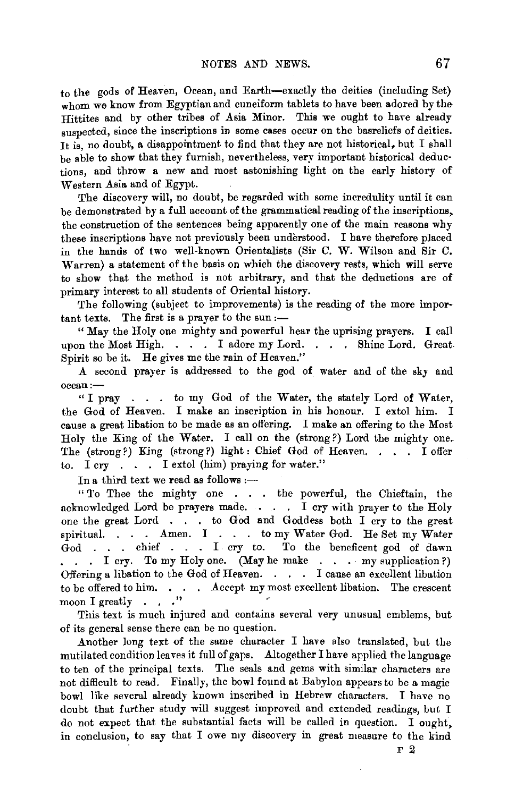to the gods of Heaven, Ocean, and Earth-exactly the deities (including Set) whom we know from Egyptian and cuneiform tablets to have been adored by the Hittites and by other tribes of Asia Minor. This we ought to have already suspected, since the inscriptions in some cases occur on the basreliefs of deities. It is, no doubt, a disappointment to find that they are not historical, but I shall be able to show that they furnish, nevertheless, very important historical deduc· tions, and throw a new and most astonishing light on the early history of Western Asia and of Egypt.

The discovery will, no doubt, be regarded with some incredulity until it can be demonstrated by a full account of the grammatical reading of the inscriptions, the construction of the sentences being apparently one of the main reasons why these inscriptions have not previously been understood. I have therefore placed in the hands of two well-known Orientalists (Sir C. W. Wilson and Sir C. Warren) a statement of the basis on which the discovery rests, which will serve to show that the method is not arbitrary, and that the deductions are of primary interest to all students of Oriental history.

The following (subject to improvements) is the reading of the more important texts. The first is a prayer to the sun:-

" May the Holy one mighty and powerful hear the uprising prayers. I call upon the Most High. . . . I adore my Lord. . . . Shine Lord. Great. Spirit so be it. He gives me the rain of Heaven."

A second prayer is addressed to the god of water and of the sky and ocean:-

" I pray  $\ldots$  to my God of the Water, the stately Lord of Water, the God of Heaven. I make an inscription in his honour. I extol him. I cause a great libation to be made es an offering. I make an offering to the Most Holy the King of the Water. I call on the (strong?) Lord the mighty one. The (strong?) King (strong?) light: Chief God of Heaven. . . . I offer to. I cry . . . I extol (him) praying for water."

In a third text we read as follows :-

" To Thee the mighty one . . . the powerful, the Chieftain, the acknowledged Lord be prayers made. . . . I cry with prayer to the Holy one the great Lord . to God and Goddess both I cry to the great spiritual. . . . Amen. I . . . to my Water God. He Set my Water God . . . chief . . . I cry to. To the beneficent god of dawn I cry. To my Holy one. (May he make . . my supplication?) Offering a libation to the God of Heaven. . . . I cause an excellent libation to be offered to him. . . . Accept my most excellent libation. The crescent moon I greatly  $\cdots$  ."

This text is much injured and contains several very unusual emblems, but of its general sense there can be no question.

Another long text of the same character I have aiso translated, but the mutilated condition leaves it full of gaps. Altogether I have applied the language to ten of the principal texts. The seals and gems with similar characters are not difficult to read. Finally, the bowl found at Babylon appears to be a magic bowl like several already known inscribed in Hebrew characters. I have no doubt that further study will suggest improved and extended readings, but I do not expect that the substantial facts will be called in question. I ought, in conclusion, to say that I owe my discovery in great measure to the kind

F *2*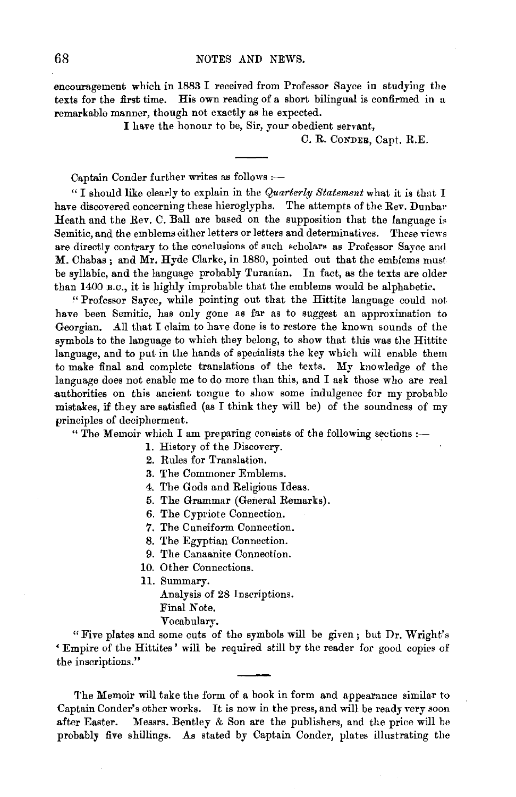encouragement which in 1883 I received from Professor Sayee in studying the texts for the first time. His own reading of a short bilingual is confirmed in a remarkable manner, though not exactly as he expected.

I have the honour to be, Sir, your obedient servant,

C. R. CoNDER, Capt. R.E.

Captain Conder further writes as follows :-

"I should like clearly to explain in the *Quarterly Statement* what it is thut I have discovered concerning these hieroglyphs. The attempts of the Rev. Dunbar Heath and the Rev. C. Ball are based on the supposition that the language is Semitic, and the emblems either letters or letters and determinatives. These views are directly contrary to the conclusions of such scholars as Professor Sayee and M. Chabas; and Mr. Hyde Clarke, in 1880, pointed out that the emblems must be syllabic, and the language probably Turanian. In fact, as the texts are older than 1400 B.c., it is highly improbable that the emblems would be alphabetic.

~' Professor Sayee, while pointing out that the Hittite language could not have been Semitic, has only gone as far as to suggest an approximation to Georgian. All that I claim to have done is to restore the known sounds of the symbols to the language to which they belong, to show that this was the Hittite language, and to put in the hands of specialists the key which will enable them to make final and complete translations of the texts. My knowledge of the language does not enable me to do more than this, and I ask those who are real .authorities on this ancient tongue to show some indulgence for my probable mistakes, if they are satisfied (as I think they will be) of the soundness of my principles of decipherment.

" The Memoir which I am preparing consists of the following sections  $:$ 

1. History of the Discovery.

2. Rules for Translation.

3. The Commoner Emblems.

4. The Gods and Religious Ideas.

5. The Grammar (General Remarks).

6. The Cypriote Connection.

*7.* The Cuneiform Connection.

8. The Egyptian Connection.

9. The Canaanite Connection.

10. Other Connections.

11. Summary.

Analysis of 28 Inscriptions. Final Note. Vocabulary.

"Five plates and some cuts of the symbols will be given; but Dr. Wright's <sup>&</sup>lt;Empire of the Hittites' will be required still by the reader for good copies of the inscriptions."

The Memoir will take the form of a book in form and appearance similar to Captain Conder's other works. It is now in the press, and will be ready very soon after Easter. Messrs. Bentley  $&$  Son are the publishers, and the price will be probably five shillings. As stated by Captain Conder, plates illustrating the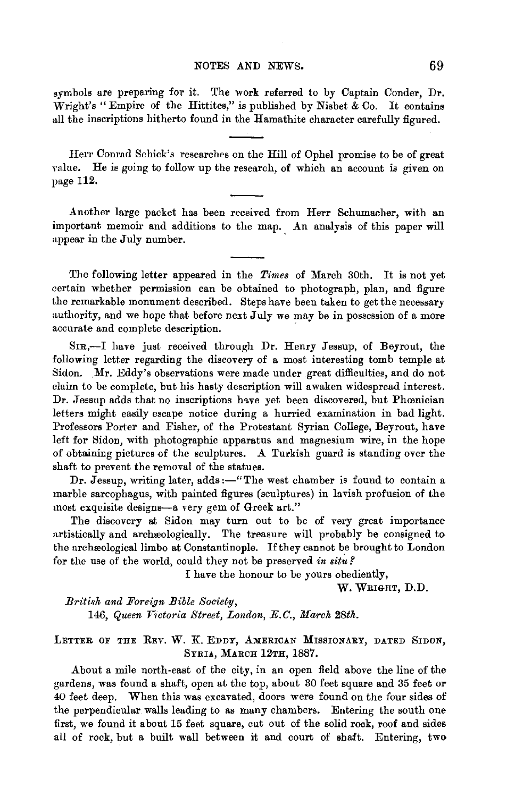#### NOTES AND NEWS. 69

symbols are preparing for it. The work referred to by Captain Conder, Dr. Wright's "Empire of the Hittites," is published by Nisbet & Co. It contains all the inscriptions hitherto found in the Hamathite character carefully figured.

Herr Conrad Schick's researches on the Hill of Ophel promise to be of great value. He is going to follow up the research, of which an account is given on page 112.

.Another large packet has been received from Herr Schumacher, with an important memoir and additions to the map. An analysis of this paper will appear in the July number.

The following letter appeared in the *Times* of March 30th. It is not yet certain whether permission can be obtained to photograph, plan, and figure the remarkable monument described. Steps have been taken to get the necessary authority, and we hope that before next July we may be in possession of a more accurate and complete description.

SIR,-I have just received through Dr. Henry Jessup, of Beyrout, the following letter regarding the discovery of a most interesting tomb temple at Sidon. Mr. Eddy's observations were made under great difficulties, and do not claim to be complete, but his hasty description will awaken widespread interest. Dr. Jessup adds that no inscriptions hwe yet been discovered, but Phamician letters might easily escape notice during a hurried examination in bad light. Professors Porter and Fisher, of the Protestant Syrian College, Beyrout, have left for Sidon, with photographic apparatus and magnesium wire, in the hope of obtaining pictures of the sculptures. A Turkish guard is standing over the shaft to prevent the removal of the statues.

Dr. Jessup, writing later, adds :- "The west chamber is found to contain a marble sarcophagus, with painted figures (sculptures) in lavish profusion of the most exquisite designs-a very gem of Greek art."

The discovery at Sidon may turn out to be of very great importance artistically and archaeologically. The treasure will probably be consigned to the archeological limbo at Constantinople. If they cannot be brought to London for the use of the world, could they not be preserved in situ?

I have the honour to be yours obediently,

w. WRIGHT, D.D.

 $British$  and Foreign Bible Society, 146, Queen Victoria Street, London, E.C., March 28th.

LETTER OF THE REV. W. K. EDDY, AMERICAN MISSIONARY, DATED SIDON, SYRIA, MARCH 12TH, 1887.

About a mile north-east of the city, in an open field above the line of the gardens, was found a shaft, open at the top, about 30 feet square and 35 feet or 40 feet deep. When this was excavated, doors were found on the four sides of the perpendicular walls leading to as many chambers. Entering the south one first, we found it about 15 feet square, cut out of the solid rock, roof and sides all of rock, but a built wall between it and court of shaft. Entering, two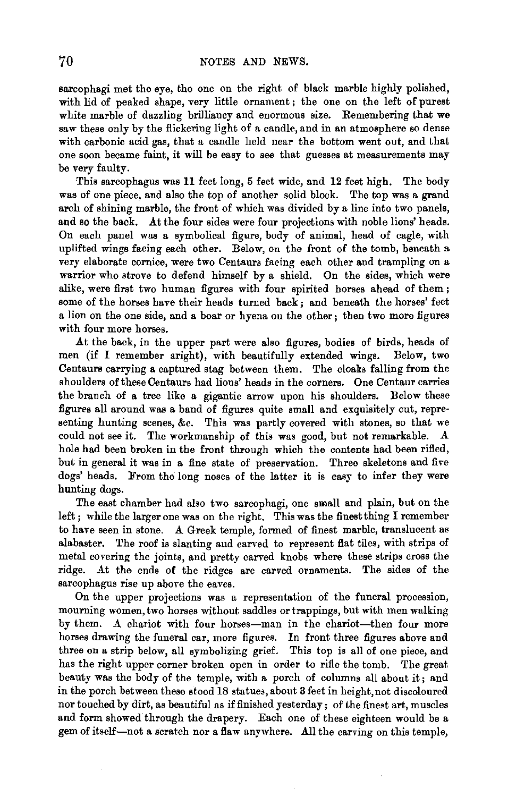sarcophagi met the eye, the one on the right of black marble highly polished, with lid of peaked shape, very little ornament; the one on the left of purest white marble of dazzling brilliancy and enormous size. Remembering that we saw these only by the flickering light of a candle, and in an atmosphere so dense with carbonic acid gas, that a candle held near the bottom went out, and that one soon became faint, it will be easy to see that guesses at measurements may be very faulty.

This sarcophagus was 11 feet long, 5 feet wide, and 12 feet high. The body was of one piece, and also the top of another solid block. The top was a grand arch of shining marble, the front of which was divided by a line into two panels, and so the back. At the four sides were four projections with noble lions' heads. On each panel was a symbolical figure, body of animal, head of eagle, with uplifted wings facing each other. Below, on the front of the tomb, beneath a very elaborate cornice, were two Centaurs facing each other and trampling on a warrior who strove to defend himself by a shield. On the sides, which were alike, were first two human figures with four spirited horses ahead of them ; some of the horses have their heads turned back; and beneath the horses' feet a lion on the one side, and a boar or hyena on the other; then two more figures with four more horses.

At the back, in the upper part were also figures, bodies of birds, heads of men (if I remember aright), with beautifully extended wings. Below, two Centaurs carrying a captured stag between them. The cloaks falling from the shoulders of these Centaurs had lions' heads in the corners. One Centaur carries the branch of a tree like a gigantic arrow upon his shoulders. Below these figures all around was a band of figures quite small and exquisitely cut, representing hunting scenes, &c. This was partly covered with stones, so that we could not see it. The workmanship of this was good, but not remarkable. A hole had been broken in the front through which the contents had been rifled, but in general it was in a fine state of preservation. Three skeletons and five dogs' heads. From the long noses of the latter it is easy to infer they were hunting dogs.

The east chamber had also two sarcophagi, one small and plain, but on the left; while the larger one was on the right. This was the finest thing I remember to have seen in stone. A Greek temple, formed of finest marble, translucent as alabaster. The roof is slanting and carved to represent flat tiles, with strips of metal covering the joints, and pretty carved knobs where these strips cross the ridge. At the ends of the ridges are carved ornaments. The sides of the sarcophagus rise up above the eaves.

On the upper projections was a representation of the funeral procession, mourning women, two horses without saddles or trappings, but with men walking by them. A chariot with four horses-man in the chariot-then four more horses drawing the funeral car, more figures. In front three figures above and three on a strip below, all symbolizing grief. This top is all of one piece, and has the right upper corner broken open in order to rifle the tomb. The great beauty was the body of the temple, with a porch of columns all about it; and in the porch between these stood 18 statues, about 3 feet in height, not discoloured nor touched by dirt, as beautiful as if finished yesterday; of the finest art, muscles and form showed through the drapery. Each one of these eighteen would be a gem of itself-not a scratch nor a flaw anywhere. All the carving on this temple,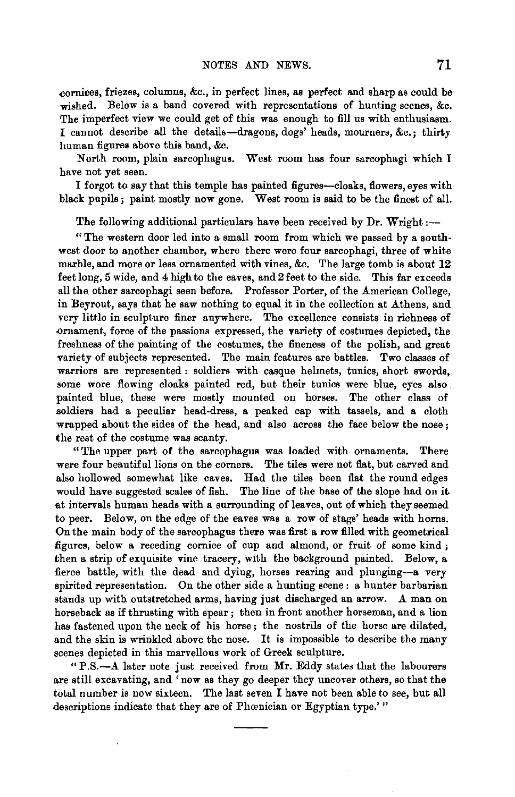cornices, friezes, columns, &c., in perfect lines, as perfect and sharp as could be wished. Below is a band covered with representations of hunting scenes, &c. The imperfect view we could get of this was enough to fill us with enthusiasm. I cannot describe all the details-dragons, dogs' heads, mourners, &c.; thirty human figures above this band, &c.

North room, plain sarcophagus. West room has four sarcophagi which I have not yet seen.

I forgot to say that this temple has painted figures-cloaks, flowers, eyes with black pupils ; paint mostly now gone. West room is said to be the finest of all.

The following additional particulars have been received by Dr. Wright :-

"The western door led into a small room from which we passed by a southwest door to another chamber, where there were four sarcophagi, three of white marble, and more or less ornamented with vines, &c. The large tomb is about 12 feet long, 5 wide, and 4 high to the eaves, and 2 feet to the side. This far exceeds all the other sarcophagi seen before. Professor Porter, of the American College, in Beyrout, says that he saw nothing to equal it in the collection at Athens, and very little in sculpture finer anywhere. The excellence consists in richness of .ornament, force of the passions expressed, the variety of costumes depicted, the freshness of the painting of the costumes, the fineness of the polish, and great variety of subjects represented. The main features are battles. Two classes of warriors are represented : soldiers with casque helmets, tunics, short swords, some wore flowing cloaks painted red, but their tunics were blue, eyes also painted blue, these were mostly mounted on horses. The other class of soldiers had a peculiar head-dress, a peaked cap with tassels, and a cloth wrapped about the sides of the head, and also across the face below the nose; the rest of the costume was scanty.

"The upper part of the sarcophagus was loaded with ornaments. There were four beautiful lions on the corners. The tiles were not flat, but carved and also hollowed somewhat like caves. Had the tiles beeu flat the round edges would have suggested scales of fish. The line of the base of the slope had on it at intervals human heads with a surrounding of leaves, out of which they seemed to peer. Below, on the edge of the eaves was a row of stags' heads with horns. On the main body of the sarcophagus there was first a row filled with geometrical figures, below a receding cornice of cup and almond, or fruit of some kind ; then a strip of exquisite vine tracery, with the background painted. Below, a fierce battle, with the dead and dying, horses rearing and plunging-a very spirited representation. On the other side a hunting scene : a hunter barbarian stands up with outstretched arms, having just discharged an arrow. A man on horseback as if thrusting with spear ; then in front another horseman, and a lion has fastened upon the neck of his horse; the nostrils of the horse are dilated, and the skin is wrinkled above the nose. It is impossible to describe the many scenes depicted in this marvellous work of Greek sculpture.

"P.S.-.A. later note just received from Mr. Eddy states that the labourers are still excavating, and 'now as they go deeper they uncover others, so that the total number is now sixteen. The last seven I have not been able to see, but all descriptions indicate that they are of Phœnician or Egyptian type.'"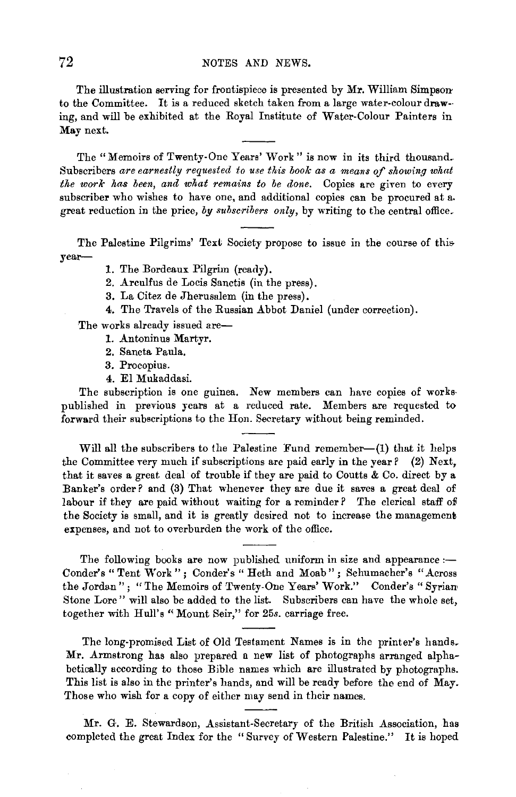The illustration serving for frontispiece is presented by Mr. William Simpsonto the Committee. It is a reduced sketch taken from a large water-colour draw- ing, and will be exhibited at the Royal Institute of Water-Colour Painters in Msynext.

The "Memoirs of Twenty-One Years' Work" is now in its third thousand. Subscribers *are earnestly requested to use this book as a means of showing what the work has been, and what remains to be done.* Copies are given to every subscriber who wishes to have one, and additional copies can be procured at a. great reduction in the price, *by subscribers only,* by writing to the central office.

The Palestine Pilgrims' Text Society propose to issue in the course of thisyear-

- 1. The Bordeaux Pilgrim (ready).
- 2. Arculfus de Locis Sanctis (in the press).
- 3. La Citez de Jherusalem (in the press).
- 4. The Travels of the Russian Abbot Daniel (under correction).

The works already issued are-

- 1. Antoninus Martyr.
- 2. Sancta Paula.
- 3. Procopius.
- 4. El Mukaddasi.

The subscription is one guinea. New members can have copies of workspublished in previous years at a reduced rate. Members are requested to forward their subscriptions to the Hon. Secretary without being reminded.

Will all the subscribers to the Palestine Fund remember- $(1)$  that it helps the Committee very much if subscriptions are paid early in the year? (2) Next, that it saves a great deal of trouble if they are paid to Coutts & Co. direct by a Banker's order? and (3) That whenever they are due it saves a great deal of labour if they are paid without waiting for a reminder? The clerical staff of the Society is small, and it is greatly desired not to increase the management expenses, and not to overburden the work of the office.

The following books are now published uniform in size and appearance  $:$ Conder's "Tent Work"; Conder's "Heth and Moab"; Schumacher's "Across the Jordan"; "The Memoirs of Twenty-One Years' Work." Conder's "Syrian Stone Lore" will also be added to the list. Subscribers can have the whole set, together with Hull's "Mount Seir," for 25s. carriage free.

The long-promised List of Old Testament Names is in the printer's hands. Mr. Armstrong has also prepared a new list of photographs arranged alphabetically according to those Bible names which are illustrated by photographs. This list is also in the printer's hands, and will be ready before the end of May. Those who wish for a copy of either may send in their names.

Mr. G. E. Stewardson, Assistant-Secretary of the British Association, has completed the great Index for the "Survey of Western Palestine." It is hoped